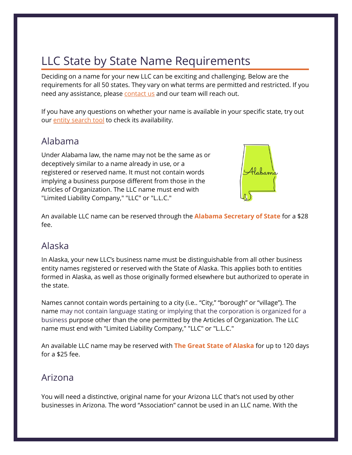# LLC State by State Name Requirements

Deciding on a name for your new LLC can be exciting and challenging. Below are the requirements for all 50 states. They vary on what terms are permitted and restricted. If you need any assistance, please **contact us** and our team will reach out.

If you have any questions on whether your name is available in your specific state, try out our **entity search tool** to check its availability.

#### Alabama

Under Alabama law, the name may not be the same as or deceptively similar to a name already in use, or a registered or reserved name. It must not contain words implying a business purpose different from those in the Articles of Organization. The LLC name must end with "Limited Liability Company," "LLC" or "L.L.C."



An available LLC name can be reserved through the **[Alabama Secretary of State](https://www.alabamainteractive.org/sos/welcome_nameReservation.action)** for a \$28 fee.

### Alaska

In Alaska, your new LLC's business name must be distinguishable from all other business entity names registered or reserved with the State of Alaska. This applies both to entities formed in Alaska, as well as those originally formed elsewhere but authorized to operate in the state.

Names cannot contain words pertaining to a city (i.e.. "City," "borough" or "village"). The name may not contain language stating or implying that the corporation is organized for a business purpose other than the one permitted by the Articles of Organization. The LLC name must end with "Limited Liability Company," "LLC" or "L.L.C."

An available LLC name may be reserved with **[The Great State of Alaska](https://www.commerce.alaska.gov/web/cbpl/BusinessLicensing/BusinessLicensingFormsFees.aspx)** for up to 120 days for a \$25 fee.

#### Arizona

You will need a distinctive, original name for your Arizona LLC that's not used by other businesses in Arizona. The word "Association" cannot be used in an LLC name. With the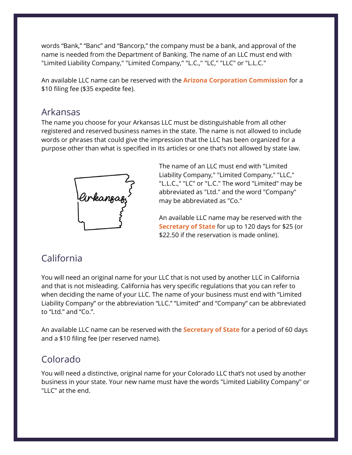words "Bank," "Banc" and "Bancorp," the company must be a bank, and approval of the name is needed from the Department of Banking. The name of an LLC must end with "Limited Liability Company," "Limited Company," "L.C.," "LC," "LLC" or "L.L.C."

An available LLC name can be reserved with the **[Arizona Corporation Commission](https://ecorp.azcc.gov/AzAccount)** for a \$10 filing fee (\$35 expedite fee).

#### Arkansas

The name you choose for your Arkansas LLC must be distinguishable from all other registered and reserved business names in the state. The name is not allowed to include words or phrases that could give the impression that the LLC has been organized for a purpose other than what is specified in its articles or one that's not allowed by state law.



The name of an LLC must end with "Limited Liability Company," "Limited Company," "LLC," "L.L.C.," "LC" or "L.C." The word "Limited" may be abbreviated as "Ltd." and the word "Company" may be abbreviated as "Co."

An available LLC name may be reserved with the **[Secretary of State](https://www.sos.arkansas.gov/corps/search_all.php)** for up to 120 days for \$25 (or \$22.50 if the reservation is made online).

## California

You will need an original name for your LLC that is not used by another LLC in California and that is not misleading. California has very specific regulations that you can refer to when deciding the name of your LLC. The name of your business must end with "Limited Liability Company" or the abbreviation "LLC." "Limited" and "Company" can be abbreviated to "Ltd." and "Co.".

An available LLC name can be reserved with the **[Secretary of State](https://bizfileonline.sos.ca.gov/)** for a period of 60 days and a \$10 filing fee (per reserved name).

## Colorado

You will need a distinctive, original name for your Colorado LLC that's not used by another business in your state. Your new name must have the words "Limited Liability Company" or "LLC" at the end.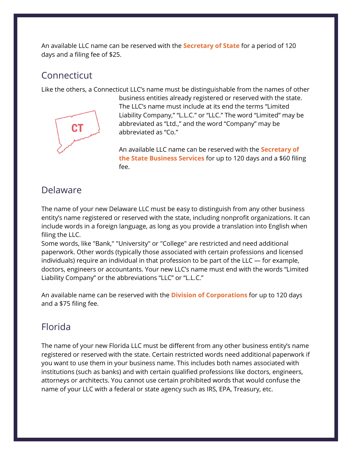An available LLC name can be reserved with the **[Secretary of State](https://www.sos.state.co.us/pubs/business/forms_main.html)** for a period of 120 days and a filing fee of \$25.

#### **Connecticut**

Like the others, a Connecticut LLC's name must be distinguishable from the names of other



business entities already registered or reserved with the state. The LLC's name must include at its end the terms "Limited Liability Company," "L.L.C." or "LLC." The word "Limited" may be abbreviated as "Ltd.," and the word "Company" may be abbreviated as "Co."

An available LLC name can be reserved with the **[Secretary of](https://business.ct.gov/New-Business-Registration-System?language=en_US)  [the State Business Services](https://business.ct.gov/New-Business-Registration-System?language=en_US)** for up to 120 days and a \$60 filing fee.

### Delaware

The name of your new Delaware LLC must be easy to distinguish from any other business entity's name registered or reserved with the state, including nonprofit organizations. It can include words in a foreign language, as long as you provide a translation into English when filing the LLC.

Some words, like "Bank," "University" or "College" are restricted and need additional paperwork. Other words (typically those associated with certain professions and licensed individuals) require an individual in that profession to be part of the LLC — for example, doctors, engineers or accountants. Your new LLC's name must end with the words "Limited Liability Company" or the abbreviations "LLC" or "L.L.C."

An available name can be reserved with the **[Division of Corporations](https://icis.corp.delaware.gov/Ecorp/NameReserv/NameReservation.aspx)** for up to 120 days and a \$75 filing fee.

## Florida

The name of your new Florida LLC must be different from any other business entity's name registered or reserved with the state. Certain restricted words need additional paperwork if you want to use them in your business name. This includes both names associated with institutions (such as banks) and with certain qualified professions like doctors, engineers, attorneys or architects. You cannot use certain prohibited words that would confuse the name of your LLC with a federal or state agency such as IRS, EPA, Treasury, etc.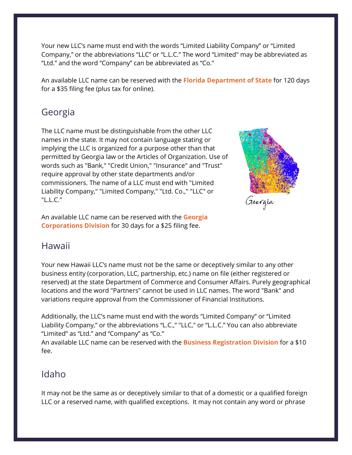Your new LLC's name must end with the words "Limited Liability Company" or "Limited Company," or the abbreviations "LLC" or "L.L.C." The word "Limited" may be abbreviated as "Ltd." and the word "Company" can be abbreviated as "Co."

An available LLC name can be reserved with the **[Florida Department of State](https://dos.myflorida.com/sunbiz/start-business/efile/fl-llc/)** for 120 days for a \$35 filing fee (plus tax for online).

### Georgia

The LLC name must be distinguishable from the other LLC names in the state. It may not contain language stating or implying the LLC is organized for a purpose other than that permitted by Georgia law or the Articles of Organization. Use of words such as "Bank," "Credit Union," "Insurance" and "Trust" require approval by other state departments and/or commissioners. The name of a LLC must end with "Limited Liability Company," "Limited Company," "Ltd. Co.," "LLC" or "L.L.C."



An available LLC name can be reserved with the **[Georgia](https://ecorp.sos.ga.gov/)  [Corporations Division](https://ecorp.sos.ga.gov/)** for 30 days for a \$25 filing fee.

### Hawaii

Your new Hawaii LLC's name must not be the same or deceptively similar to any other business entity (corporation, LLC, partnership, etc.) name on file (either registered or reserved) at the state Department of Commerce and Consumer Affairs. Purely geographical locations and the word "Partners" cannot be used in LLC names. The word "Bank" and variations require approval from the Commissioner of Financial Institutions.

Additionally, the LLC's name must end with the words "Limited Company" or "Limited Liability Company," or the abbreviations "L.C.," "LLC," or "L.L.C." You can also abbreviate "Limited" as "Ltd." and "Company" as "Co."

An available LLC name can be reserved with the **[Business Registration Division](https://cca.hawaii.gov/breg/registration/dlp/forms/)** for a \$10 fee.

#### Idaho

It may not be the same as or deceptively similar to that of a domestic or a qualified foreign LLC or a reserved name, with qualified exceptions. It may not contain any word or phrase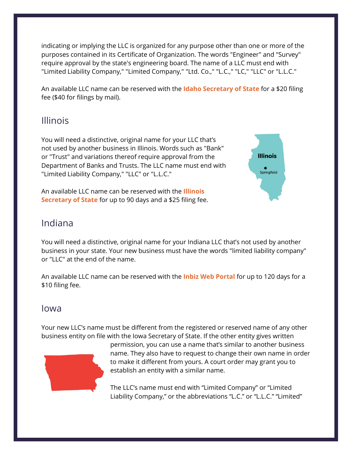indicating or implying the LLC is organized for any purpose other than one or more of the purposes contained in its Certificate of Organization. The words "Engineer" and "Survey" require approval by the state's engineering board. The name of a LLC must end with "Limited Liability Company," "Limited Company," "Ltd. Co.," "L.C.," "LC," "LLC" or "L.L.C."

An available LLC name can be reserved with the **Idaho [Secretary of State](https://sosbiz.idaho.gov/forms/business)** for a \$20 filing fee (\$40 for filings by mail).

#### Illinois

You will need a distinctive, original name for your LLC that's not used by another business in Illinois. Words such as "Bank" or "Trust" and variations thereof require approval from the Department of Banks and Trusts. The LLC name must end with "Limited Liability Company," "LLC" or "L.L.C."

An available LLC name can be reserved with the **[Illinois](https://www.ilsos.gov/publications/business_services/llc.html)  [Secretary of State](https://www.ilsos.gov/publications/business_services/llc.html)** for up to 90 days and a \$25 filing fee.



#### Indiana

You will need a distinctive, original name for your Indiana LLC that's not used by another business in your state. Your new business must have the words "limited liability company" or "LLC" at the end of the name.

An available LLC name can be reserved with the **[Inbiz Web Portal](https://inbiz.in.gov/BOS/Home/Index)** for up to 120 days for a \$10 filing fee.

#### Iowa

Your new LLC's name must be different from the registered or reserved name of any other business entity on file with the Iowa Secretary of State. If the other entity gives written



permission, you can use a name that's similar to another business name. They also have to request to change their own name in order to make it different from yours. A court order may grant you to establish an entity with a similar name.

The LLC's name must end with "Limited Company" or "Limited Liability Company," or the abbreviations "L.C." or "L.L.C." "Limited"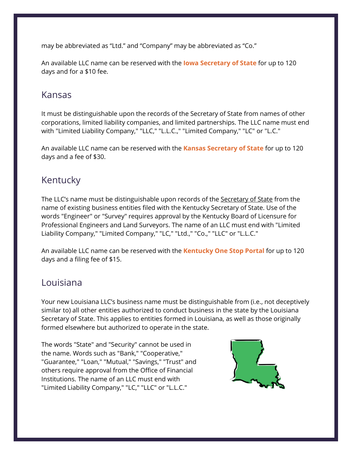may be abbreviated as "Ltd." and "Company" may be abbreviated as "Co."

An available LLC name can be reserved with the **[Iowa Secretary of State](https://sos.iowa.gov/file/businessEntity/index.aspx)** for up to 120 days and for a \$10 fee.

#### Kansas

It must be distinguishable upon the records of the Secretary of State from names of other corporations, limited liability companies, and limited partnerships. The LLC name must end with "Limited Liability Company," "LLC," "L.L.C.," "Limited Company," "LC" or "L.C."

An available LLC name can be reserved with the **[Kansas Secretary of State](https://sos.ks.gov/forms/forms_results.aspx?division=BS)** for up to 120 days and a fee of \$30.

### Kentucky

The LLC's name must be distinguishable upon records of the [Secretary of State](https://web.sos.ky.gov/ftsearch/) from the name of existing business entities filed with the Kentucky Secretary of State. Use of the words "Engineer" or "Survey" requires approval by the Kentucky Board of Licensure for Professional Engineers and Land Surveyors. The name of an LLC must end with "Limited Liability Company," "Limited Company," "LC," "Ltd.," "Co.," "LLC" or "L.L.C."

An available LLC name can be reserved with the **[Kentucky One Stop Portal](https://onestop.portal.ky.gov/onestopportal/)** for up to 120 days and a filing fee of \$15.

#### Louisiana

Your new Louisiana LLC's business name must be distinguishable from (i.e., not deceptively similar to) all other entities authorized to conduct business in the state by the Louisiana Secretary of State. This applies to entities formed in Louisiana, as well as those originally formed elsewhere but authorized to operate in the state.

The words "State" and "Security" cannot be used in the name. Words such as "Bank," "Cooperative," "Guarantee," "Loan," "Mutual," "Savings," "Trust" and others require approval from the Office of Financial Institutions. The name of an LLC must end with "Limited Liability Company," "LC," "LLC" or "L.L.C."

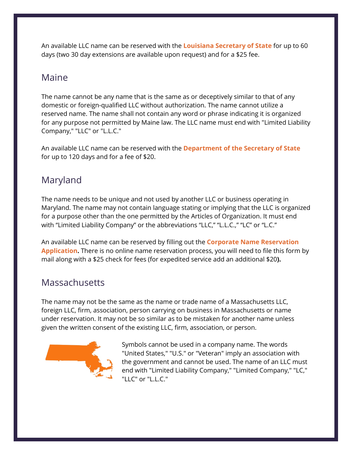An available LLC name can be reserved with the **[Louisiana Secretary of State](https://www.sos.la.gov/BusinessServices/FileBusinessDocuments/GetFormsAndFeeSchedule/Pages/default.aspx)** for up to 60 days (two 30 day extensions are available upon request) and for a \$25 fee.

### Maine

The name cannot be any name that is the same as or deceptively similar to that of any domestic or foreign-qualified LLC without authorization. The name cannot utilize a reserved name. The name shall not contain any word or phrase indicating it is organized for any purpose not permitted by Maine law. The LLC name must end with "Limited Liability Company," "LLC" or "L.L.C."

An available LLC name can be reserved with the **[Department of the Secretary of State](https://www.maine.gov/sos/cec/corp/llc.html)** for up to 120 days and for a fee of \$20.

# Maryland

The name needs to be unique and not used by another LLC or business operating in Maryland. The name may not contain language stating or implying that the LLC is organized for a purpose other than the one permitted by the Articles of Organization. It must end with "Limited Liability Company" or the abbreviations "LLC," "L.L.C.," "LC" or "L.C."

An available LLC name can be reserved by filling out the **[Corporate Name Reservation](https://dat.maryland.gov/SDAT%20Forms/Name_reservation.pdf)  Application.** [There is no online name reservation process, you will need to file this form by](https://dat.maryland.gov/SDAT%20Forms/Name_reservation.pdf)  [mail along with a \\$25 check for fees \(for expedited service add an additional \\$20](https://dat.maryland.gov/SDAT%20Forms/Name_reservation.pdf)**).**

### **Massachusetts**

The name may not be the same as the name or trade name of a Massachusetts LLC, foreign LLC, firm, association, person carrying on business in Massachusetts or name under reservation. It may not be so similar as to be mistaken for another name unless given the written consent of the existing LLC, firm, association, or person.



Symbols cannot be used in a company name. The words "United States," "U.S." or "Veteran" imply an association with the government and cannot be used. The name of an LLC must end with "Limited Liability Company," "Limited Company," "LC," "LLC" or "L.L.C."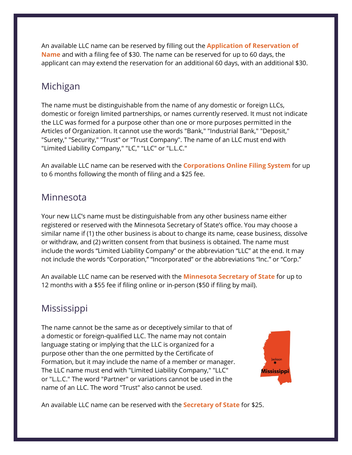An available LLC name can be reserved by filling out the **[Application of Reservation of](https://www.sec.state.ma.us/cor/corpweb/cornameres/nameresinf.htm)  [Name](https://www.sec.state.ma.us/cor/corpweb/cornameres/nameresinf.htm)** and with a filing fee of \$30. The name can be reserved for up to 60 days, the applicant can may extend the reservation for an additional 60 days, with an additional \$30.

#### Michigan

The name must be distinguishable from the name of any domestic or foreign LLCs, domestic or foreign limited partnerships, or names currently reserved. It must not indicate the LLC was formed for a purpose other than one or more purposes permitted in the Articles of Organization. It cannot use the words "Bank," "Industrial Bank," "Deposit," "Surety," "Security," "Trust" or "Trust Company". The name of an LLC must end with "Limited Liability Company," "LC," "LLC" or "L.L.C."

An available LLC name can be reserved with the **[Corporations Online Filing System](https://cofs.lara.state.mi.us/CorpWeb/LoginSystem/ListNewFilings.aspx?FilingMethod=I)** for up to 6 months following the month of filing and a \$25 fee.

#### Minnesota

Your new LLC's name must be distinguishable from any other business name either registered or reserved with the Minnesota Secretary of State's office. You may choose a similar name if (1) the other business is about to change its name, cease business, dissolve or withdraw, and (2) written consent from that business is obtained. The name must include the words "Limited Liability Company" or the abbreviation "LLC" at the end. It may not include the words "Corporation," "Incorporated" or the abbreviations "Inc." or "Corp."

An available LLC name can be reserved with the **[Minnesota Secretary of State](https://www.sos.state.mn.us/business-liens/business-forms-fees/name-reservation/)** for up to 12 months with a \$55 fee if filing online or in-person (\$50 if filing by mail).

### **Mississippi**

The name cannot be the same as or deceptively similar to that of a domestic or foreign-qualified LLC. The name may not contain language stating or implying that the LLC is organized for a purpose other than the one permitted by the Certificate of Formation, but it may include the name of a member or manager. The LLC name must end with "Limited Liability Company," "LLC" or "L.L.C." The word "Partner" or variations cannot be used in the name of an LLC. The word "Trust" also cannot be used.



An available LLC name can be reserved with the **[Secretary of State](https://corp.sos.ms.gov/forms/BusinessServices/NameReservations/NameReservations)** for \$25.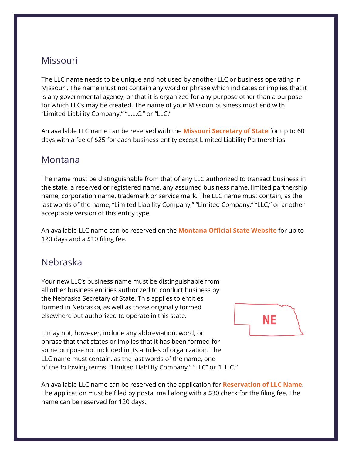#### Missouri

The LLC name needs to be unique and not used by another LLC or business operating in Missouri. The name must not contain any word or phrase which indicates or implies that it is any governmental agency, or that it is organized for any purpose other than a purpose for which LLCs may be created. The name of your Missouri business must end with "Limited Liability Company," "L.L.C." or "LLC."

An available LLC name can be reserved with the **[Missouri Secretary of State](https://www.sos.mo.gov/business/corporations/forms)** for up to 60 days with a fee of \$25 for each business entity except Limited Liability Partnerships.

#### Montana

The name must be distinguishable from that of any LLC authorized to transact business in the state, a reserved or registered name, any assumed business name, limited partnership name, corporation name, trademark or service mark. The LLC name must contain, as the last words of the name, "Limited Liability Company," "Limited Company," "LLC," or another acceptable version of this entity type.

An available LLC name can be reserved on the **[Montana Official State Website](https://app.mt.gov/epass/Authn/selectIDP.html)** for up to 120 days and a \$10 filing fee.

### Nebraska

Your new LLC's business name must be distinguishable from all other business entities authorized to conduct business by the Nebraska Secretary of State. This applies to entities formed in Nebraska, as well as those originally formed elsewhere but authorized to operate in this state.

It may not, however, include any abbreviation, word, or phrase that that states or implies that it has been formed for some purpose not included in its articles of organization. The LLC name must contain, as the last words of the name, one of the following terms: "Limited Liability Company," "LLC" or "L.L.C."



An available LLC name can be reserved on the application for **[Reservation of LLC Name](https://sos.nebraska.gov/sites/sos.nebraska.gov/files/doc/Form%20Reservation%20of%20LLC%20Name%20_Form_7.01.2021.pdf)**. The application must be filed by postal mail along with a \$30 check for the filing fee. The name can be reserved for 120 days.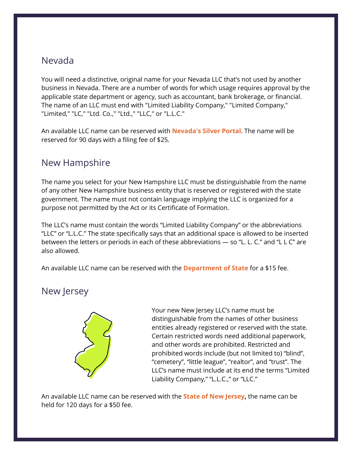#### Nevada

You will need a distinctive, original name for your Nevada LLC that's not used by another business in Nevada. There are a number of words for which usage requires approval by the applicable state department or agency, such as accountant, bank brokerage, or financial. The name of an LLC must end with "Limited Liability Company," "Limited Company," "Limited," "LC," "Ltd. Co.," "Ltd.," "LLC," or "L.L.C."

An available LLC name can be reserved with **[Nevada's Silver Portal](https://www.nvsilverflume.gov/home)**. The name will be reserved for 90 days with a filing fee of \$25.

#### New Hampshire

The name you select for your New Hampshire LLC must be distinguishable from the name of any other New Hampshire business entity that is reserved or registered with the state government. The name must not contain language implying the LLC is organized for a purpose not permitted by the Act or its Certificate of Formation.

The LLC's name must contain the words "Limited Liability Company" or the abbreviations "LLC" or "L.L.C." The state specifically says that an additional space is allowed to be inserted between the letters or periods in each of these abbreviations — so "L. L. C." and "L L C" are also allowed.

An available LLC name can be reserved with the **[Department of State](https://sos.nh.gov/corporation-ucc-securities/corporation/forms-and-fees/domestic-and-foreign-limited-liability-company/domestic-forms/)** for a \$15 fee.

#### New Jersey



Your new New Jersey LLC's name must be distinguishable from the names of other business entities already registered or reserved with the state. Certain restricted words need additional paperwork, and other words are prohibited. Restricted and prohibited words include (but not limited to) "blind", "cemetery", "little league", "realtor", and "trust". The LLC's name must include at its end the terms "Limited Liability Company," "L.L.C.," or "LLC."

An available LLC name can be reserved with the **[State of New Jersey,](https://www.njportal.com/dor/businessamendments)** the name can be held for 120 days for a \$50 fee.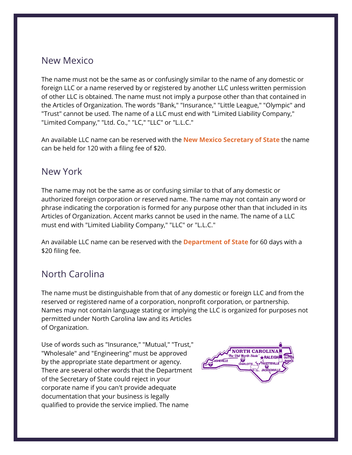#### New Mexico

The name must not be the same as or confusingly similar to the name of any domestic or foreign LLC or a name reserved by or registered by another LLC unless written permission of other LLC is obtained. The name must not imply a purpose other than that contained in the Articles of Organization. The words "Bank," "Insurance," "Little League," "Olympic" and "Trust" cannot be used. The name of a LLC must end with "Limited Liability Company," "Limited Company," "Ltd. Co.," "LC," "LLC" or "L.L.C."

An available LLC name can be reserved with the **[New Mexico Secretary of State](https://www.sos.state.nm.us/business-services/start-a-business/domestic-nm-llc/)** the name can be held for 120 with a filing fee of \$20.

#### New York

The name may not be the same as or confusing similar to that of any domestic or authorized foreign corporation or reserved name. The name may not contain any word or phrase indicating the corporation is formed for any purpose other than that included in its Articles of Organization. Accent marks cannot be used in the name. The name of a LLC must end with "Limited Liability Company," "LLC" or "L.L.C."

An available LLC name can be reserved with the **[Department of State](https://dos.ny.gov/reservation-name-domestic-and-foreign-business-corporations#:%7E:text=No%20expenditure%20or%20other%20commitment,is%20%245%20per%20name%20submitted.)** for 60 days with a \$20 filing fee.

## North Carolina

The name must be distinguishable from that of any domestic or foreign LLC and from the reserved or registered name of a corporation, nonprofit corporation, or partnership. Names may not contain language stating or implying the LLC is organized for purposes not permitted under North Carolina law and its Articles of Organization.

Use of words such as "Insurance," "Mutual," "Trust," "Wholesale" and "Engineering" must be approved by the appropriate state department or agency. There are several other words that the Department of the Secretary of State could reject in your corporate name if you can't provide adequate documentation that your business is legally qualified to provide the service implied. The name

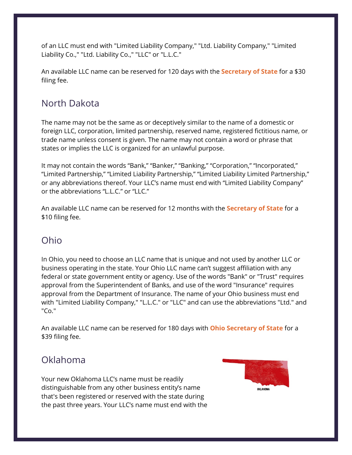of an LLC must end with "Limited Liability Company," "Ltd. Liability Company," "Limited Liability Co.," "Ltd. Liability Co.," "LLC" or "L.L.C."

An available LLC name can be reserved for 120 days with the **[Secretary of State](https://www.sosnc.gov/forms/by_title/_Business_Registration_Business_Entities_Common)** for a \$30 [filing fee.](https://www.sosnc.gov/forms/by_title/_Business_Registration_Business_Entities_Common)

## North Dakota

The name may not be the same as or deceptively similar to the name of a domestic or foreign LLC, corporation, limited partnership, reserved name, registered fictitious name, or trade name unless consent is given. The name may not contain a word or phrase that states or implies the LLC is organized for an unlawful purpose.

It may not contain the words "Bank," "Banker," "Banking," "Corporation," "Incorporated," "Limited Partnership," "Limited Liability Partnership," "Limited Liability Limited Partnership," or any abbreviations thereof. Your LLC's name must end with "Limited Liability Company" or the abbreviations "L.L.C." or "LLC."

An available LLC name can be reserved for 12 months with the **[Secretary of State](https://firststop.sos.nd.gov/forms/new/523)** for a \$10 filing fee.

### Ohio

In Ohio, you need to choose an LLC name that is unique and not used by another LLC or business operating in the state. Your Ohio LLC name can't suggest affiliation with any federal or state government entity or agency. Use of the words "Bank" or "Trust" requires approval from the Superintendent of Banks, and use of the word "Insurance" requires approval from the Department of Insurance. The name of your Ohio business must end with "Limited Liability Company," "L.L.C." or "LLC" and can use the abbreviations "Ltd." and "Co."

An available LLC name can be reserved for 180 days with **[Ohio Secretary of State](https://bsportal.ohiosos.gov/)** for a \$39 filing fee.

### Oklahoma

Your new Oklahoma LLC's name must be readily distinguishable from any other business entity's name that's been registered or reserved with the state during the past three years. Your LLC's name must end with the

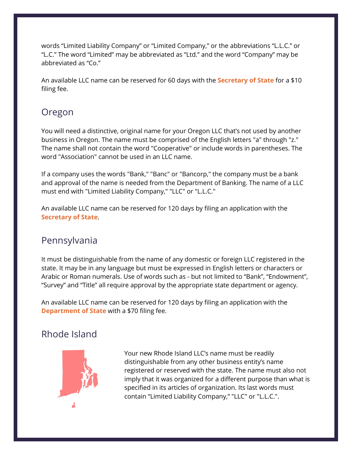words "Limited Liability Company" or "Limited Company," or the abbreviations "L.L.C." or "L.C." The word "Limited" may be abbreviated as "Ltd." and the word "Company" may be abbreviated as "Co."

An available LLC name can be reserved for 60 days with the **[Secretary of State](https://www.sos.ok.gov/corp/filing.aspx)** for a \$10 filing fee.

### Oregon

You will need a distinctive, original name for your Oregon LLC that's not used by another business in Oregon. The name must be comprised of the English letters "a" through "z." The name shall not contain the word "Cooperative" or include words in parentheses. The word "Association" cannot be used in an LLC name.

If a company uses the words "Bank," "Banc" or "Bancorp," the company must be a bank and approval of the name is needed from the Department of Banking. The name of a LLC must end with "Limited Liability Company," "LLC" or "L.L.C."

An available LLC name can be reserved for 120 days by filing an application with the **[Secretary of State](https://secure.sos.state.or.us/oim/login?oimAction=renew&p_a_cd=CBR&p_fp_gurl=https://secure.sos.state.or.us/cbrmanager/login.action)**.

### Pennsylvania

It must be distinguishable from the name of any domestic or foreign LLC registered in the state. It may be in any language but must be expressed in English letters or characters or Arabic or Roman numerals. Use of words such as - but not limited to "Bank", "Endowment", "Survey" and "Title" all require approval by the appropriate state department or agency.

An available LLC name can be reserved for 120 days by filing an application with the **[Department of State](https://www.dos.pa.gov/BusinessCharities/Business/RegistrationForms/Documents/Updated%202017%20Registration%20Forms/Miscellaneous%20Forms/15-208%20Reservation_Transfer%20of%20Reservation.pdf)** with a \$70 filing fee.

## Rhode Island



Your new Rhode Island LLC's name must be readily distinguishable from any other business entity's name registered or reserved with the state. The name must also not imply that it was organized for a different purpose than what is specified in its articles of organization. Its last words must contain "Limited Liability Company," "LLC" or "L.L.C.".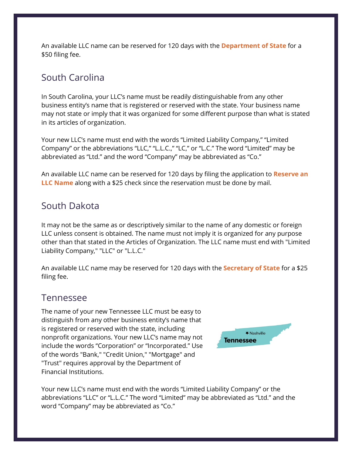An available LLC name can be reserved for 120 days with the **[Department of State](https://www.sos.ri.gov/assets/downloads/documents/620-reservation-of-entity-name.pdf)** for a \$50 filing fee.

#### South Carolina

In South Carolina, your LLC's name must be readily distinguishable from any other business entity's name that is registered or reserved with the state. Your business name may not state or imply that it was organized for some different purpose than what is stated in its articles of organization.

Your new LLC's name must end with the words "Limited Liability Company," "Limited Company" or the abbreviations "LLC," "L.L.C.," "LC," or "L.C." The word "Limited" may be abbreviated as "Ltd." and the word "Company" may be abbreviated as "Co."

An available LLC name can be reserved for 120 days by filing the application to **[Reserve an](https://businessfilings.sc.gov/BusinessFiling/Home/DownloadForms?pdfCategoryId=9&category=Reserve%20or%20Register%20a%20Business%20Name)  [LLC Name](https://businessfilings.sc.gov/BusinessFiling/Home/DownloadForms?pdfCategoryId=9&category=Reserve%20or%20Register%20a%20Business%20Name)** along with a \$25 check since the reservation must be done by mail.

#### South Dakota

It may not be the same as or descriptively similar to the name of any domestic or foreign LLC unless consent is obtained. The name must not imply it is organized for any purpose other than that stated in the Articles of Organization. The LLC name must end with "Limited Liability Company," "LLC" or "L.L.C."

An available LLC name may be reserved for 120 days with the **[Secretary of State](https://sdsos.gov/business-services/corporations/corporate-forms/limited-liability-companies.aspx)** for a \$25 filing fee.

#### Tennessee

The name of your new Tennessee LLC must be easy to distinguish from any other business entity's name that is registered or reserved with the state, including nonprofit organizations. Your new LLC's name may not include the words "Corporation" or "Incorporated." Use of the words "Bank," "Credit Union," "Mortgage" and "Trust" requires approval by the Department of Financial Institutions.



Your new LLC's name must end with the words "Limited Liability Company" or the abbreviations "LLC" or "L.L.C." The word "Limited" may be abbreviated as "Ltd." and the word "Company" may be abbreviated as "Co."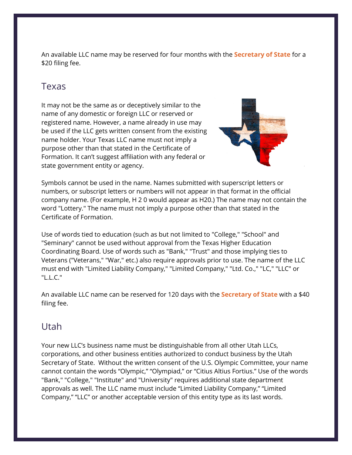An available LLC name may be reserved for four months with the **[Secretary of State](https://sos.tn.gov/businesses/forms-and-fees)** for a \$20 filing fee.

#### Texas

It may not be the same as or deceptively similar to the name of any domestic or foreign LLC or reserved or registered name. However, a name already in use may be used if the LLC gets written consent from the existing name holder. Your Texas LLC name must not imply a purpose other than that stated in the Certificate of Formation. It can't suggest affiliation with any federal or state government entity or agency.



Symbols cannot be used in the name. Names submitted with superscript letters or numbers, or subscript letters or numbers will not appear in that format in the official company name. (For example, H 2 0 would appear as H20.) The name may not contain the word "Lottery." The name must not imply a purpose other than that stated in the Certificate of Formation.

Use of words tied to education (such as but not limited to "College," "School" and "Seminary" cannot be used without approval from the Texas Higher Education Coordinating Board. Use of words such as "Bank," "Trust" and those implying ties to Veterans ("Veterans," "War," etc.) also require approvals prior to use. The name of the LLC must end with "Limited Liability Company," "Limited Company," "Ltd. Co.," "LC," "LLC" or "L.L.C."

An available LLC name can be reserved for 120 days with the **[Secretary of State](https://www.sos.state.tx.us/corp/sosda/index.shtml)** with a \$40 filing fee.

#### Utah

Your new LLC's business name must be distinguishable from all other Utah LLCs, corporations, and other business entities authorized to conduct business by the Utah Secretary of State. Without the written consent of the U.S. Olympic Committee, your name cannot contain the words "Olympic," "Olympiad," or "Citius Altius Fortius." Use of the words "Bank," "College," "Institute" and "University" requires additional state department approvals as well. The LLC name must include "Limited Liability Company," "Limited Company," "LLC" or another acceptable version of this entity type as its last words.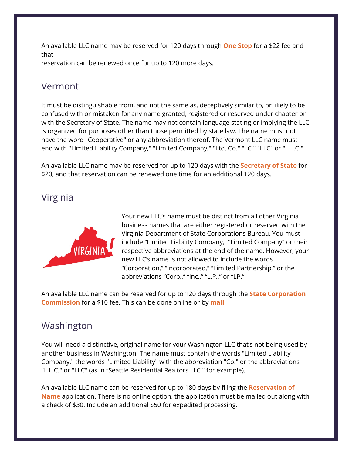An available LLC name may be reserved for 120 days through **[One Stop](https://secure.utah.gov/account-migration/login.html?returnToUrlUtahId=https%3A%2F%2Fsecure.utah.gov%2Fosbr-user%2Fuii_authentication)** for a \$22 fee and that reservation can be renewed once for up to 120 more days.

#### Vermont

It must be distinguishable from, and not the same as, deceptively similar to, or likely to be confused with or mistaken for any name granted, registered or reserved under chapter or with the Secretary of State. The name may not contain language stating or implying the LLC is organized for purposes other than those permitted by state law. The name must not have the word "Cooperative" or any abbreviation thereof. The Vermont LLC name must end with "Limited Liability Company," "Limited Company," "Ltd. Co." "LC," "LLC" or "L.L.C."

An available LLC name may be reserved for up to 120 days with the **[Secretary of State](https://sos.vermont.gov/corporations/registration/)** for \$20, and that reservation can be renewed one time for an additional 120 days.

#### Virginia



Your new LLC's name must be distinct from all other Virginia business names that are either registered or reserved with the Virginia Department of State Corporations Bureau. You must include "Limited Liability Company," "Limited Company" or their respective abbreviations at the end of the name. However, your new LLC's name is not allowed to include the words "Corporation," "Incorporated," "Limited Partnership," or the abbreviations "Corp.," "Inc.," "L.P.," or "LP."

An available LLC name can be reserved for up to 120 days through the **[State Corporation](https://cis.scc.virginia.gov/)  [Commission](https://cis.scc.virginia.gov/)** for a \$10 fee. This can be done online or by **[mail](https://scc.virginia.gov/getattachment/c7fff181-6c0e-4115-aca2-6dbd05129c7f/scc631.pdf)**.

### Washington

You will need a distinctive, original name for your Washington LLC that's not being used by another business in Washington. The name must contain the words "Limited Liability Company," the words "Limited Liability" with the abbreviation "Co." or the abbreviations "L.L.C." or "LLC" (as in "Seattle Residential Realtors LLC," for example).

An available LLC name can be reserved for up to 180 days by filing the **[Reservation of](https://www.sos.wa.gov/corps/foreign-entity-registration-and-forms.aspx)  [Name](https://www.sos.wa.gov/corps/foreign-entity-registration-and-forms.aspx)** application. There is no online option, the application must be mailed out along with a check of \$30. Include an additional \$50 for expedited processing.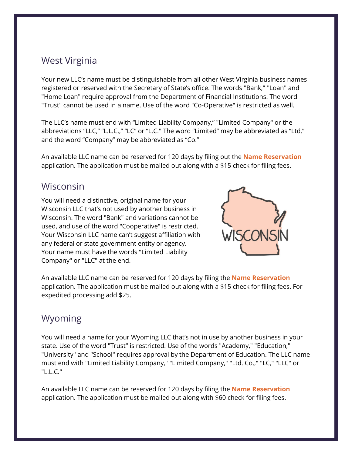### West Virginia

Your new LLC's name must be distinguishable from all other West Virginia business names registered or reserved with the Secretary of State's office. The words "Bank," "Loan" and "Home Loan" require approval from the Department of Financial Institutions. The word "Trust" cannot be used in a name. Use of the word "Co-Operative" is restricted as well.

The LLC's name must end with "Limited Liability Company," "Limited Company" or the abbreviations "LLC," "L.L.C.," "LC" or "L.C." The word "Limited" may be abbreviated as "Ltd." and the word "Company" may be abbreviated as "Co."

An available LLC name can be reserved for 120 days by filing out the **[Name Reservation](https://sos.wv.gov/FormSearch/Business/Multiple-Company-Types/nr1.pdff)** application. The application must be mailed out along with a \$15 check for filing fees.

#### Wisconsin

You will need a distinctive, original name for your Wisconsin LLC that's not used by another business in Wisconsin. The word "Bank" and variations cannot be used, and use of the word "Cooperative" is restricted. Your Wisconsin LLC name can't suggest affiliation with any federal or state government entity or agency. Your name must have the words "Limited Liability Company" or "LLC" at the end.



An available LLC name can be reserved for 120 days by filing the **[Name Reservation](https://www.wdfi.org/_resources/indexed/site/corporations/dfi-corp-1.pdf)** application. The application must be mailed out along with a \$15 check for filing fees. For expedited processing add \$25.

### Wyoming

You will need a name for your Wyoming LLC that's not in use by another business in your state. Use of the word "Trust" is restricted. Use of the words "Academy," "Education," "University" and "School" requires approval by the Department of Education. The LLC name must end with "Limited Liability Company," "Limited Company," "Ltd. Co.," "LC," "LLC" or "L.L.C."

An available LLC name can be reserved for 120 days by filing the **[Name Reservation](https://sos.wyo.gov/Forms/Business/General/LLC/LLC-NameReservation.pdf)** application. The application must be mailed out along with \$60 check for filing fees.